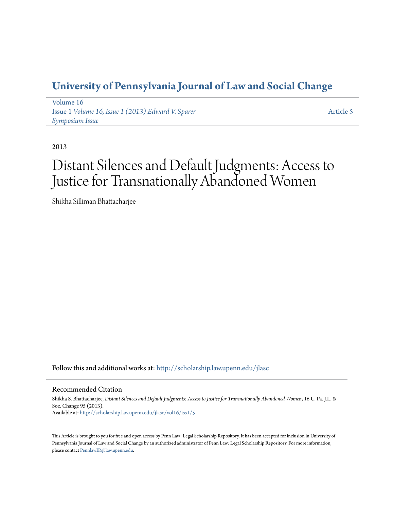# **[University of Pennsylvania Journal of Law and Social Change](http://scholarship.law.upenn.edu/jlasc?utm_source=scholarship.law.upenn.edu%2Fjlasc%2Fvol16%2Fiss1%2F5&utm_medium=PDF&utm_campaign=PDFCoverPages)**

[Volume 16](http://scholarship.law.upenn.edu/jlasc/vol16?utm_source=scholarship.law.upenn.edu%2Fjlasc%2Fvol16%2Fiss1%2F5&utm_medium=PDF&utm_campaign=PDFCoverPages) Issue 1 *[Volume 16, Issue 1 \(2013\) Edward V. Sparer](http://scholarship.law.upenn.edu/jlasc/vol16/iss1?utm_source=scholarship.law.upenn.edu%2Fjlasc%2Fvol16%2Fiss1%2F5&utm_medium=PDF&utm_campaign=PDFCoverPages) [Symposium Issue](http://scholarship.law.upenn.edu/jlasc/vol16/iss1?utm_source=scholarship.law.upenn.edu%2Fjlasc%2Fvol16%2Fiss1%2F5&utm_medium=PDF&utm_campaign=PDFCoverPages)*

[Article 5](http://scholarship.law.upenn.edu/jlasc/vol16/iss1/5?utm_source=scholarship.law.upenn.edu%2Fjlasc%2Fvol16%2Fiss1%2F5&utm_medium=PDF&utm_campaign=PDFCoverPages)

2013

# Distant Silences and Default Judgments: Access to Justice for Transnationally Abandoned Women

Shikha Silliman Bhattacharjee

Follow this and additional works at: [http://scholarship.law.upenn.edu/jlasc](http://scholarship.law.upenn.edu/jlasc?utm_source=scholarship.law.upenn.edu%2Fjlasc%2Fvol16%2Fiss1%2F5&utm_medium=PDF&utm_campaign=PDFCoverPages)

# Recommended Citation

Shikha S. Bhattacharjee, *Distant Silences and Default Judgments: Access to Justice for Transnationally Abandoned Women*, 16 U. Pa. J.L. & Soc. Change 95 (2013). Available at: [http://scholarship.law.upenn.edu/jlasc/vol16/iss1/5](http://scholarship.law.upenn.edu/jlasc/vol16/iss1/5?utm_source=scholarship.law.upenn.edu%2Fjlasc%2Fvol16%2Fiss1%2F5&utm_medium=PDF&utm_campaign=PDFCoverPages)

This Article is brought to you for free and open access by Penn Law: Legal Scholarship Repository. It has been accepted for inclusion in University of Pennsylvania Journal of Law and Social Change by an authorized administrator of Penn Law: Legal Scholarship Repository. For more information, please contact [PennlawIR@law.upenn.edu.](mailto:PennlawIR@law.upenn.edu)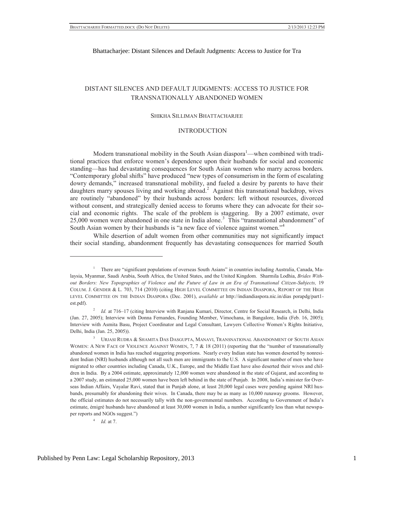# DISTANT SILENCES AND DEFAULT JUDGMENTS: ACCESS TO JUSTICE FOR TRANSNATIONALLY ABANDONED WOMEN

#### SHIKHA SILLIMAN BHATTACHARJEE

#### INTRODUCTION

Modern transnational mobility in the South Asian diaspora<sup>1</sup>—when combined with traditional practices that enforce women's dependence upon their husbands for social and economic standing—has had devastating consequences for South Asian women who marry across borders. "Contemporary global shifts" have produced "new types of consumerism in the form of escalating dowry demands," increased transnational mobility, and fueled a desire by parents to have their daughters marry spouses living and working abroad.<sup>2</sup> Against this transnational backdrop, wives are routinely "abandoned" by their husbands across borders: left without resources, divorced without consent, and strategically denied access to forums where they can advocate for their social and economic rights. The scale of the problem is staggering. By a 2007 estimate, over 25,000 women were abandoned in one state in India alone.<sup>3</sup> This "transnational abandonment" of South Asian women by their husbands is "a new face of violence against women."<sup>4</sup>

While desertion of adult women from other communities may not significantly impact their social standing, abandonment frequently has devastating consequences for married South

4  *Id.* at 7.

<sup>1</sup> There are "significant populations of overseas South Asians" in countries including Australia, Canada, Malaysia, Myanmar, Saudi Arabia, South Africa, the United States, and the United Kingdom. Sharmila Lodhia, *Brides Without Borders: New Topographies of Violence and the Future of Law in an Era of Transnational Citizen-Subjects,* 19 COLUM. J. GENDER & L. 703, 714 (2010) (citing HIGH LEVEL COMMITTEE ON INDIAN DIASPORA, REPORT OF THE HIGH LEVEL COMMITTEE ON THE INDIAN DIASPORA (Dec. 2001), *available at* http://indiandiaspora.nic.in/dias porapdg/part1 est.pdf).

<sup>2</sup>  *Id.* at 716–17 (citing Interview with Ranjana Kumari, Director, Centre for Social Research, in Delhi, India (Jan. 27, 2005); Interview with Donna Fernandes, Founding Member, Vimochana, in Bangalore, India (Feb. 16, 2005); Interview with Asmita Basu, Project Coordinator and Legal Consultant, Lawyers Collective Women's Rights Initiative, Delhi, India (Jan. 25, 2005)).

<sup>3</sup> URJASI RUDRA & SHAMITA DAS DASGUPTA, MANAVI, TRANSNATIONAL ABANDONMENT OF SOUTH ASIAN WOMEN: A NEW FACE OF VIOLENCE AGAINST WOMEN, 7, 7 & 18 (2011) (reporting that the "number of transnationally abandoned women in India has reached staggering proportions. Nearly every Indian state has women deserted by nonresident Indian (NRI) husbands although not all such men are immigrants to the U.S. A significant number of men who have migrated to other countries including Canada, U.K., Europe, and the Middle East have also deserted their wives and children in India. By a 2004 estimate, approximately 12,000 women were abandoned in the state of Gujarat, and according to a 2007 study, an estimated 25,000 women have been left behind in the state of Punjab. In 2008, India's minister for Overseas Indian Affairs, Vayalar Ravi, stated that in Punjab alone, at least 20,000 legal cases were pending against NRI husbands, presumably for abandoning their wives. In Canada, there may be as many as 10,000 runaway grooms. However, the official estimates do not necessarily tally with the non-governmental numbers. According to Government of India's estimate, émigré husbands have abandoned at least 30,000 women in India, a number significantly less than what newspaper reports and NGOs suggest.")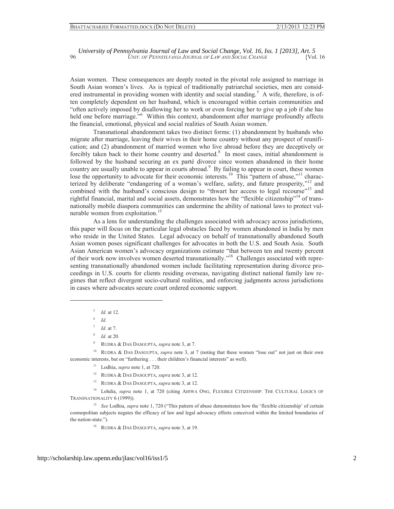Asian women. These consequences are deeply rooted in the pivotal role assigned to marriage in South Asian women's lives. As is typical of traditionally patriarchal societies, men are considered instrumental in providing women with identity and social standing.<sup>5</sup> A wife, therefore, is often completely dependent on her husband, which is encouraged within certain communities and "often actively imposed by disallowing her to work or even forcing her to give up a job if she has held one before marriage."<sup>6</sup> Within this context, abandonment after marriage profoundly affects the financial, emotional, physical and social realities of South Asian women.<sup>7</sup>

Transnational abandonment takes two distinct forms: (1) abandonment by husbands who migrate after marriage, leaving their wives in their home country without any prospect of reunification; and (2) abandonment of married women who live abroad before they are deceptively or forcibly taken back to their home country and deserted.<sup>8</sup> In most cases, initial abandonment is followed by the husband securing an ex parté divorce since women abandoned in their home country are usually unable to appear in courts abroad.<sup>9</sup> By failing to appear in court, these women lose the opportunity to advocate for their economic interests.<sup>10</sup> This "pattern of abuse,"<sup>11</sup> characterized by deliberate "endangering of a woman's welfare, safety, and future prosperity,"<sup>12</sup> and combined with the husband's conscious design to "thwart her access to legal recourse"<sup>13</sup> and rightful financial, marital and social assets, demonstrates how the "flexible citizenship"<sup>14</sup> of transnationally mobile diaspora communities can undermine the ability of national laws to protect vulnerable women from exploitation.<sup>15</sup>

As a lens for understanding the challenges associated with advocacy across jurisdictions, this paper will focus on the particular legal obstacles faced by women abandoned in India by men who reside in the United States. Legal advocacy on behalf of transnationally abandoned South Asian women poses significant challenges for advocates in both the U.S. and South Asia. South Asian American women's advocacy organizations estimate "that between ten and twenty percent of their work now involves women deserted transnationally."<sup>16</sup> Challenges associated with representing transnationally abandoned women include facilitating representation during divorce proceedings in U.S. courts for clients residing overseas, navigating distinct national family law regimes that reflect divergent socio-cultural realities, and enforcing judgments across jurisdictions in cases where advocates secure court ordered economic support.

5  *Id.* at 12.

6  *Id*.

 $\overline{a}$ 

8  *Id.* at 20.

9 RUDRA & DAS DASGUPTA, *supra* note 3, at 7.

10 RUDRA & DAS DASGUPTA, *supra* note 3, at 7 (noting that these women "lose out" not just on their own economic interests, but on "furthering . . . their children's financial interests" as well).

11 Lodhia, *supra* note 1, at 720.

12 RUDRA & DAS DASGUPTA, *supra* note 3, at 12.

13 RUDRA & DAS DASGUPTA, *supra* note 3, at 12.

<sup>14</sup> Lohdia, *supra* note 1, at 720 (citing AIHWA ONG, FLEXIBLE CITIZENSHIP: THE CULTURAL LOGICS OF TRANSNATIONALITY 6 (1999)).

<sup>15</sup> See Lodhia, *supra* note 1, 720 ("This pattern of abuse demonstrates how the 'flexible citizenship' of certain cosmopolitan subjects negates the efficacy of law and legal advocacy efforts conceived within the limited boundaries of the nation-state.").

16 RUDRA & DAS DASGUPTA, *supra* note 3, at 19.

<sup>7</sup>  *Id.* at 7.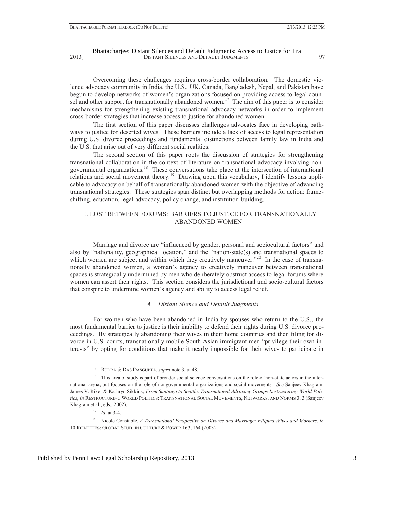Overcoming these challenges requires cross-border collaboration. The domestic violence advocacy community in India, the U.S., UK, Canada, Bangladesh, Nepal, and Pakistan have begun to develop networks of women's organizations focused on providing access to legal counsel and other support for transnationally abandoned women.<sup>17</sup> The aim of this paper is to consider mechanisms for strengthening existing transnational advocacy networks in order to implement cross-border strategies that increase access to justice for abandoned women.

The first section of this paper discusses challenges advocates face in developing pathways to justice for deserted wives. These barriers include a lack of access to legal representation during U.S. divorce proceedings and fundamental distinctions between family law in India and the U.S. that arise out of very different social realities.

The second section of this paper roots the discussion of strategies for strengthening transnational collaboration in the context of literature on transnational advocacy involving nongovernmental organizations.18 These conversations take place at the intersection of international relations and social movement theory.<sup>19</sup> Drawing upon this vocabulary, I identify lessons applicable to advocacy on behalf of transnationally abandoned women with the objective of advancing transnational strategies. These strategies span distinct but overlapping methods for action: frameshifting, education, legal advocacy, policy change, and institution-building.

#### I. LOST BETWEEN FORUMS: BARRIERS TO JUSTICE FOR TRANSNATIONALLY ABANDONED WOMEN

Marriage and divorce are "influenced by gender, personal and sociocultural factors" and also by "nationality, geographical location," and the "nation-state(s) and transnational spaces to which women are subject and within which they creatively maneuver."<sup>20</sup> In the case of transnationally abandoned women, a woman's agency to creatively maneuver between transnational spaces is strategically undermined by men who deliberately obstruct access to legal forums where women can assert their rights. This section considers the jurisdictional and socio-cultural factors that conspire to undermine women's agency and ability to access legal relief.

### *A. Distant Silence and Default Judgments*

For women who have been abandoned in India by spouses who return to the U.S., the most fundamental barrier to justice is their inability to defend their rights during U.S. divorce proceedings. By strategically abandoning their wives in their home countries and then filing for divorce in U.S. courts, transnationally mobile South Asian immigrant men "privilege their own interests" by opting for conditions that make it nearly impossible for their wives to participate in

<sup>17</sup> RUDRA & DAS DASGUPTA, *supra* note 3, at 48.

<sup>&</sup>lt;sup>18</sup> This area of study is part of broader social science conversations on the role of non-state actors in the international arena, but focuses on the role of nongovernmental organizations and social movements. *See* Sanjeev Khagram, James V. Riker & Kathryn Sikkink, *From Santiago to Seattle*: *Transnational Advocacy Groups Restructuring World Politics*, *in* RESTRUCTURING WORLD POLITICS: TRANSNATIONAL SOCIAL MOVEMENTS, NETWORKS, AND NORMS 3, 3 (Sanjeev Khagram et al., eds., 2002).

<sup>19</sup> *Id.* at 3-4.

<sup>20</sup> Nicole Constable, *A Transnational Perspective on Divorce and Marriage: Filipina Wives and Workers*, *in*  10 IDENTITIES: GLOBAL STUD. IN CULTURE & POWER 163, 164 (2003).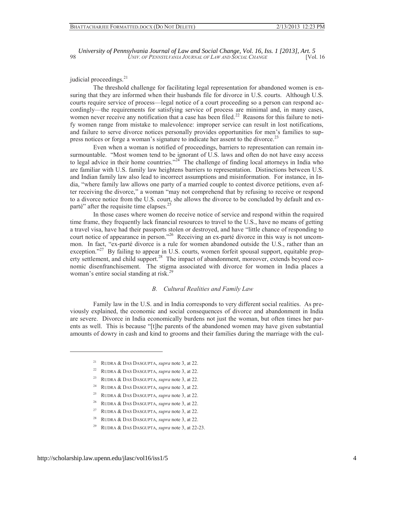judicial proceedings.<sup>21</sup>

The threshold challenge for facilitating legal representation for abandoned women is ensuring that they are informed when their husbands file for divorce in U.S. courts. Although U.S. courts require service of process—legal notice of a court proceeding so a person can respond accordingly—the requirements for satisfying service of process are minimal and, in many cases, women never receive any notification that a case has been filed.<sup>22</sup> Reasons for this failure to notify women range from mistake to malevolence: improper service can result in lost notifications, and failure to serve divorce notices personally provides opportunities for men's families to suppress notices or forge a woman's signature to indicate her assent to the divorce.<sup>23</sup>

Even when a woman is notified of proceedings, barriers to representation can remain insurmountable. "Most women tend to be ignorant of U.S. laws and often do not have easy access to legal advice in their home countries. $24\degree$  The challenge of finding local attorneys in India who are familiar with U.S. family law heightens barriers to representation. Distinctions between U.S. and Indian family law also lead to incorrect assumptions and misinformation. For instance, in India, "where family law allows one party of a married couple to contest divorce petitions, even after receiving the divorce," a woman "may not comprehend that by refusing to receive or respond to a divorce notice from the U.S. court, she allows the divorce to be concluded by default and exparté" after the requisite time elapses.<sup>25</sup>

In those cases where women do receive notice of service and respond within the required time frame, they frequently lack financial resources to travel to the U.S., have no means of getting a travel visa, have had their passports stolen or destroyed, and have "little chance of responding to court notice of appearance in person."<sup>26</sup> Receiving an ex-parté divorce in this way is not uncommon. In fact, "ex-parté divorce is a rule for women abandoned outside the U.S., rather than an exception."<sup>27</sup> By failing to appear in U.S. courts, women forfeit spousal support, equitable property settlement, and child support.<sup>28</sup> The impact of abandonment, moreover, extends beyond economic disenfranchisement. The stigma associated with divorce for women in India places a woman's entire social standing at risk.<sup>29</sup>

#### *B. Cultural Realities and Family Law*

Family law in the U.S. and in India corresponds to very different social realities. As previously explained, the economic and social consequences of divorce and abandonment in India are severe. Divorce in India economically burdens not just the woman, but often times her parents as well. This is because "[t]he parents of the abandoned women may have given substantial amounts of dowry in cash and kind to grooms and their families during the marriage with the cul-

<sup>21</sup> RUDRA & DAS DASGUPTA, *supra* note 3, at 22.

<sup>22</sup> RUDRA & DAS DASGUPTA, *supra* note 3, at 22.

<sup>23</sup> RUDRA & DAS DASGUPTA, *supra* note 3, at 22.

<sup>24</sup> RUDRA & DAS DASGUPTA, *supra* note 3, at 22.

<sup>25</sup> RUDRA & DAS DASGUPTA, *supra* note 3, at 22.

<sup>26</sup> RUDRA & DAS DASGUPTA, *supra* note 3, at 22.

<sup>27</sup> RUDRA & DAS DASGUPTA, *supra* note 3, at 22.

<sup>28</sup> RUDRA & DAS DASGUPTA, *supra* note 3, at 22.

<sup>29</sup> RUDRA & DAS DASGUPTA, *supra* note 3, at 22-23.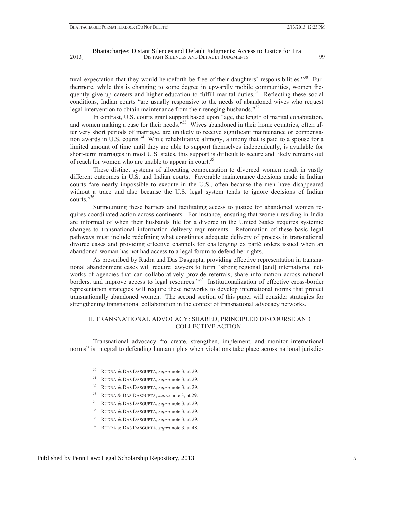tural expectation that they would henceforth be free of their daughters' responsibilities."<sup>30</sup> Furthermore, while this is changing to some degree in upwardly mobile communities, women frequently give up careers and higher education to fulfill marital duties.<sup>31</sup> Reflecting these social conditions, Indian courts "are usually responsive to the needs of abandoned wives who request legal intervention to obtain maintenance from their reneging husbands."<sup>32</sup>

In contrast, U.S. courts grant support based upon "age, the length of marital cohabitation, and women making a case for their needs."<sup>33</sup> Wives abandoned in their home countries, often after very short periods of marriage, are unlikely to receive significant maintenance or compensation awards in U.S. courts.<sup>34</sup> While rehabilitative alimony, alimony that is paid to a spouse for a limited amount of time until they are able to support themselves independently, is available for short-term marriages in most U.S. states, this support is difficult to secure and likely remains out of reach for women who are unable to appear in court.<sup>35</sup>

These distinct systems of allocating compensation to divorced women result in vastly different outcomes in U.S. and Indian courts. Favorable maintenance decisions made in Indian courts "are nearly impossible to execute in the U.S., often because the men have disappeared without a trace and also because the U.S. legal system tends to ignore decisions of Indian courts." 36

Surmounting these barriers and facilitating access to justice for abandoned women requires coordinated action across continents. For instance, ensuring that women residing in India are informed of when their husbands file for a divorce in the United States requires systemic changes to transnational information delivery requirements. Reformation of these basic legal pathways must include redefining what constitutes adequate delivery of process in transnational divorce cases and providing effective channels for challenging ex parté orders issued when an abandoned woman has not had access to a legal forum to defend her rights.

As prescribed by Rudra and Das Dasgupta, providing effective representation in transnational abandonment cases will require lawyers to form "strong regional [and] international networks of agencies that can collaboratively provide referrals, share information across national borders, and improve access to legal resources."<sup>37</sup> Institutionalization of effective cross-border representation strategies will require these networks to develop international norms that protect transnationally abandoned women. The second section of this paper will consider strategies for strengthening transnational collaboration in the context of transnational advocacy networks.

# II. TRANSNATIONAL ADVOCACY: SHARED, PRINCIPLED DISCOURSE AND COLLECTIVE ACTION

Transnational advocacy "to create, strengthen, implement, and monitor international norms" is integral to defending human rights when violations take place across national jurisdic-

- 34 RUDRA & DAS DASGUPTA, *supra* note 3, at 29.
- 35 RUDRA & DAS DASGUPTA, *supra* note 3, at 29..
- 36 RUDRA & DAS DASGUPTA, *supra* note 3, at 29.

<sup>30</sup> RUDRA & DAS DASGUPTA, *supra* note 3, at 29.

<sup>31</sup> RUDRA & DAS DASGUPTA, *supra* note 3, at 29.

<sup>32</sup> RUDRA & DAS DASGUPTA, *supra* note 3, at 29.

<sup>33</sup> RUDRA & DAS DASGUPTA, *supra* note 3, at 29.

<sup>37</sup> RUDRA & DAS DASGUPTA, *supra* note 3, at 48.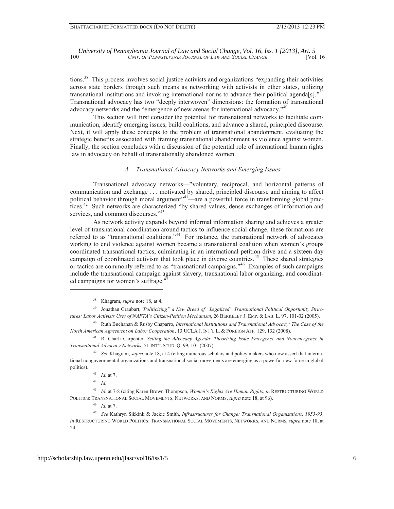tions.<sup>38</sup> This process involves social justice activists and organizations "expanding their activities across state borders through such means as networking with activists in other states, utilizing transnational institutions and invoking international norms to advance their political agenda[s].<sup>339</sup> Transnational advocacy has two "deeply interwoven" dimensions: the formation of transnational advocacy networks and the "emergence of new arenas for international advocacy."<sup>40</sup>

This section will first consider the potential for transnational networks to facilitate communication, identify emerging issues, build coalitions, and advance a shared, principled discourse. Next, it will apply these concepts to the problem of transnational abandonment, evaluating the strategic benefits associated with framing transnational abandonment as violence against women. Finally, the section concludes with a discussion of the potential role of international human rights law in advocacy on behalf of transnationally abandoned women.

#### *A. Transnational Advocacy Networks and Emerging Issues*

Transnational advocacy networks—"voluntary, reciprocal, and horizontal patterns of communication and exchange . . . motivated by shared, principled discourse and aiming to affect political behavior through moral argument"<sup>41</sup>—are a powerful force in transforming global practices.<sup>42</sup> Such networks are characterized "by shared values, dense exchanges of information and services, and common discourses."<sup>43</sup>

As network activity expands beyond informal information sharing and achieves a greater level of transnational coordination around tactics to influence social change, these formations are referred to as "transnational coalitions."<sup>44</sup> For instance, the transnational network of advocates working to end violence against women became a transnational coalition when women's groups coordinated transnational tactics, culminating in an international petition drive and a sixteen day campaign of coordinated activism that took place in diverse countries.<sup>45</sup> These shared strategies or tactics are commonly referred to as "transnational campaigns." 46 Examples of such campaigns include the transnational campaign against slavery, transnational labor organizing, and coordinated campaigns for women's suffrage.<sup>47</sup>

<sup>44</sup> *Id.*

 $\overline{a}$ 

<sup>45</sup> *Id.* at 7-8 (citing Karen Brown Thompson, *Women's Rights Are Human Rights*, *in* RESTRUCTURING WORLD POLITICS: TRANSNATIONAL SOCIAL MOVEMENTS, NETWORKS, AND NORMS, *supra* note 18, at 96).

<sup>46</sup> *Id.* at 7.

<sup>47</sup> *See* Kathryn Sikkink & Jackie Smith, *Infrastructures for Change: Transnational Organizations, 1953-93*, *in* RESTRUCTURING WORLD POLITICS: TRANSNATIONAL SOCIAL MOVEMENTS, NETWORKS, AND NORMS, *supra* note 18, at 24.

<sup>38</sup> Khagram, *supra* note 18, at 4.

<sup>39</sup> Jonathan Graubart,*"Politicizing" a New Breed of "Legalized" Transnational Political Opportunity Structures: Labor Activists Uses of NAFTA's Citizen-Petition Mechanism*, 26 BERKELEY J. EMP. & LAB. L. 97, 101-02 (2005).

<sup>40</sup> Ruth Buchanan & Rusby Chaparro, *International Institutions and Transnational Advocacy: The Case of the North American Agreement on Labor Cooperation*, 13 UCLA J. INT'L L. & FOREIGN AFF. 129, 132 (2008).

<sup>41</sup> R. Charli Carpenter, *Setting the Advocacy Agenda*: *Theorizing Issue Emergence and Nonemergence in Transnational Advocacy Networks*, 51 INT'L STUD. Q. 99, 101 (2007).

<sup>42</sup> *See* Khagram, *supra* note 18, at 4 (citing numerous scholars and policy makers who now assert that international nongovernmental organizations and transnational social movements are emerging as a powerful new force in global politics).

<sup>43</sup> *Id.* at 7.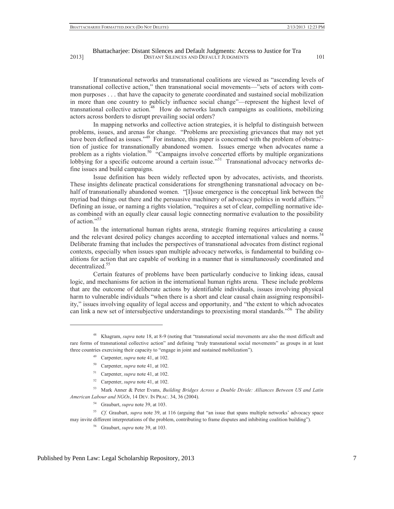If transnational networks and transnational coalitions are viewed as "ascending levels of transnational collective action," then transnational social movements—"sets of actors with common purposes . . . that have the capacity to generate coordinated and sustained social mobilization in more than one country to publicly influence social change"—represent the highest level of transnational collective action.<sup>48</sup> How do networks launch campaigns as coalitions, mobilizing actors across borders to disrupt prevailing social orders?

In mapping networks and collective action strategies, it is helpful to distinguish between problems, issues, and arenas for change. "Problems are preexisting grievances that may not yet have been defined as issues."<sup>49</sup> For instance, this paper is concerned with the problem of obstruction of justice for transnationally abandoned women. Issues emerge when advocates name a problem as a rights violation.<sup>50</sup> "Campaigns involve concerted efforts by multiple organizations lobbying for a specific outcome around a certain issue.<sup>"51</sup> Transnational advocacy networks define issues and build campaigns.

Issue definition has been widely reflected upon by advocates, activists, and theorists. These insights delineate practical considerations for strengthening transnational advocacy on behalf of transnationally abandoned women. "[I]ssue emergence is the conceptual link between the myriad bad things out there and the persuasive machinery of advocacy politics in world affairs."<sup>52</sup> Defining an issue, or naming a rights violation, "requires a set of clear, compelling normative ideas combined with an equally clear causal logic connecting normative evaluation to the possibility of action." 53

In the international human rights arena, strategic framing requires articulating a cause and the relevant desired policy changes according to accepted international values and norms.<sup>54</sup> Deliberate framing that includes the perspectives of transnational advocates from distinct regional contexts, especially when issues span multiple advocacy networks, is fundamental to building coalitions for action that are capable of working in a manner that is simultaneously coordinated and decentralized.<sup>55</sup>

Certain features of problems have been particularly conducive to linking ideas, causal logic, and mechanisms for action in the international human rights arena. These include problems that are the outcome of deliberate actions by identifiable individuals, issues involving physical harm to vulnerable individuals "when there is a short and clear causal chain assigning responsibility," issues involving equality of legal access and opportunity, and "the extent to which advocates can link a new set of intersubjective understandings to preexisting moral standards."<sup>56</sup> The ability

49 Carpenter, *supra* note 41, at 102.

 $\overline{a}$ 

- 50 Carpenter, *supra* note 41, at 102.
- 51 Carpenter, *supra* note 41, at 102.
- 52 Carpenter, *supra* note 41, at 102.

53 Mark Anner & Peter Evans, *Building Bridges Across a Double Divide: Alliances Between US and Latin American Labour and NGOs*, 14 DEV. IN PRAC. 34, 36 (2004).

54 Graubart, *supra* note 39, at 103.

<sup>55</sup> *Cf.* Graubart, *supra* note 39, at 116 (arguing that "an issue that spans multiple networks' advocacy space may invite different interpretations of the problem, contributing to frame disputes and inhibiting coalition building").

56 Graubart, *supra* note 39, at 103.

<sup>48</sup> Khagram, *supra* note 18, at 8-9 (noting that "transnational social movements are also the most difficult and rare forms of transnational collective action" and defining "truly transnational social movements" as groups in at least three countries exercising their capacity to "engage in joint and sustained mobilization").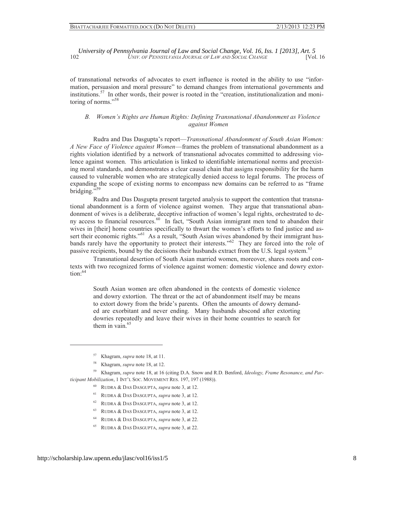of transnational networks of advocates to exert influence is rooted in the ability to use "information, persuasion and moral pressure" to demand changes from international governments and institutions.<sup>57</sup> In other words, their power is rooted in the "creation, institutionalization and monitoring of norms." 58

# *B. Women's Rights are Human Rights: Defining Transnational Abandonment as Violence against Women*

Rudra and Das Dasgupta's report—*Transnational Abandonment of South Asian Women: A New Face of Violence against Women*—frames the problem of transnational abandonment as a rights violation identified by a network of transnational advocates committed to addressing violence against women. This articulation is linked to identifiable international norms and preexisting moral standards, and demonstrates a clear causal chain that assigns responsibility for the harm caused to vulnerable women who are strategically denied access to legal forums. The process of expanding the scope of existing norms to encompass new domains can be referred to as "frame bridging."<sup>59</sup>

Rudra and Das Dasgupta present targeted analysis to support the contention that transnational abandonment is a form of violence against women. They argue that transnational abandonment of wives is a deliberate, deceptive infraction of women's legal rights, orchestrated to deny access to financial resources.<sup>60</sup> In fact, "South Asian immigrant men tend to abandon their wives in [their] home countries specifically to thwart the women's efforts to find justice and assert their economic rights."<sup>61</sup> As a result, "South Asian wives abandoned by their immigrant husbands rarely have the opportunity to protect their interests."<sup>62</sup> They are forced into the role of passive recipients, bound by the decisions their husbands extract from the U.S. legal system.<sup>63</sup>

Transnational desertion of South Asian married women, moreover, shares roots and contexts with two recognized forms of violence against women: domestic violence and dowry extor $t$ <sub>ion</sub> $.64$ 

South Asian women are often abandoned in the contexts of domestic violence and dowry extortion. The threat or the act of abandonment itself may be means to extort dowry from the bride's parents. Often the amounts of dowry demanded are exorbitant and never ending. Many husbands abscond after extorting dowries repeatedly and leave their wives in their home countries to search for them in vain. $65$ 

- 60 RUDRA & DAS DASGUPTA, *supra* note 3, at 12.
- 61 RUDRA & DAS DASGUPTA, *supra* note 3, at 12.
- 62 RUDRA & DAS DASGUPTA, *supra* note 3, at 12.
- 63 RUDRA & DAS DASGUPTA, *supra* note 3, at 12.
- 64 RUDRA & DAS DASGUPTA, *supra* note 3, at 22.
- 65 RUDRA & DAS DASGUPTA, *supra* note 3, at 22.

<sup>57</sup> Khagram, *supra* note 18, at 11.

<sup>58</sup> Khagram, *supra* note 18, at 12.

<sup>59</sup> Khagram, *supra* note 18, at 16 (citing D.A. Snow and R.D. Benford, *Ideology, Frame Resonance, and Participant Mobilization*, 1 INT'L SOC. MOVEMENT RES. 197, 197 (1988)).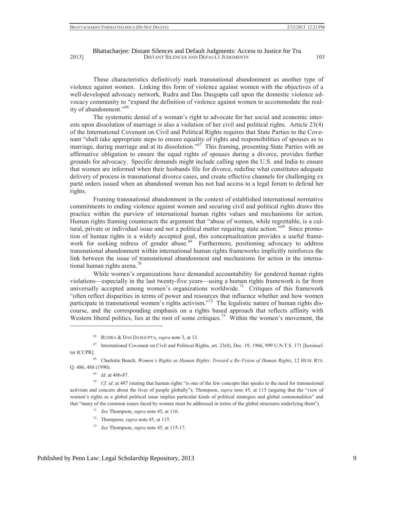These characteristics definitively mark transnational abandonment as another type of violence against women. Linking this form of violence against women with the objectives of a well-developed advocacy network, Rudra and Das Dasgupta call upon the domestic violence advocacy community to "expand the definition of violence against women to accommodate the reality of abandonment."<sup>66</sup>

The systematic denial of a woman's right to advocate for her social and economic interests upon dissolution of marriage is also a violation of her civil and political rights. Article 23(4) of the International Covenant on Civil and Political Rights requires that State Parties to the Covenant "shall take appropriate steps to ensure equality of rights and responsibilities of spouses as to marriage, during marriage and at its dissolution."<sup>67</sup> This framing, presenting State Parties with an affirmative obligation to ensure the equal rights of spouses during a divorce, provides further grounds for advocacy. Specific demands might include calling upon the U.S. and India to ensure that women are informed when their husbands file for divorce, redefine what constitutes adequate delivery of process in transnational divorce cases, and create effective channels for challenging ex parté orders issued when an abandoned woman has not had access to a legal forum to defend her rights.

Framing transnational abandonment in the context of established international normative commitments to ending violence against women and securing civil and political rights draws this practice within the purview of international human rights values and mechanisms for action. Human rights framing counteracts the argument that "abuse of women, while regrettable, is a cultural, private or individual issue and not a political matter requiring state action.<sup>568</sup> Since promotion of human rights is a widely accepted goal, this conceptualization provides a useful framework for seeking redress of gender abuse.<sup>69</sup> Furthermore, positioning advocacy to address transnational abandonment within international human rights frameworks implicitly reinforces the link between the issue of transnational abandonment and mechanisms for action in the international human rights arena.<sup>70</sup>

While women's organizations have demanded accountability for gendered human rights violations—especially in the last twenty-five years—using a human rights framework is far from universally accepted among women's organizations worldwide.<sup>71</sup> Critiques of this framework "often reflect disparities in terms of power and resources that influence whether and how women participate in transnational women's rights activism."<sup>72</sup> The legalistic nature of human rights discourse, and the corresponding emphasis on a rights based approach that reflects affinity with Western liberal politics, lies at the root of some critiques.<sup>73</sup> Within the women's movement, the

<sup>69</sup> *Id*. at 486-87.

 $\overline{a}$ 

<sup>70</sup> *Cf. id*. at 487 (stating that human rights "is one of the few concepts that speaks to the need for transnational activism and concern about the lives of people globally"); Thompson, *supra* note 45, at 115 (arguing that the "view of women's rights as a global political issue implies particular kinds of political strategies and global commonalities" and that "many of the common issues faced by women must be addressed in terms of the global structures underlying them").

- <sup>71</sup> *See* Thompson, *supra* note 45, at 116.
- 72 Thompson, *supra* note 45, at 115.
- <sup>73</sup> *See* Thompson, *supra* note 45, at 115-17.

<sup>66</sup> RUDRA & DAS DASGUPTA, *supra* note 3, at 13.

<sup>67</sup> International Covenant on Civil and Political Rights, art. 23(4), Dec. 19, 1966, 999 U.N.T.S. 171 [hereinafter ICCPR].

<sup>68</sup> Charlotte Bunch, *Women's Rights as Human Rights: Toward a Re-Vision of Human Rights*, 12 HUM. RTS. Q. 486, 488 (1990).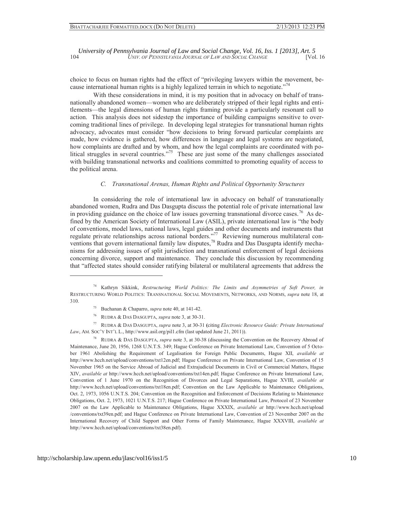choice to focus on human rights had the effect of "privileging lawyers within the movement, because international human rights is a highly legalized terrain in which to negotiate."<sup>74</sup>

With these considerations in mind, it is my position that in advocacy on behalf of transnationally abandoned women—women who are deliberately stripped of their legal rights and entitlements—the legal dimensions of human rights framing provide a particularly resonant call to action. This analysis does not sidestep the importance of building campaigns sensitive to overcoming traditional lines of privilege. In developing legal strategies for transnational human rights advocacy, advocates must consider "how decisions to bring forward particular complaints are made, how evidence is gathered, how differences in language and legal systems are negotiated, how complaints are drafted and by whom, and how the legal complaints are coordinated with political struggles in several countries."<sup>75</sup> These are just some of the many challenges associated with building transnational networks and coalitions committed to promoting equality of access to the political arena.

#### *C. Transnational Arenas, Human Rights and Political Opportunity Structures*

In considering the role of international law in advocacy on behalf of transnationally abandoned women, Rudra and Das Dasgupta discuss the potential role of private international law in providing guidance on the choice of law issues governing transnational divorce cases.<sup>76</sup> As defined by the American Society of International Law (ASIL), private international law is "the body of conventions, model laws, national laws, legal guides and other documents and instruments that regulate private relationships across national borders."<sup>77</sup> Reviewing numerous multilateral conventions that govern international family law disputes,<sup>78</sup> Rudra and Das Dasgupta identify mechanisms for addressing issues of split jurisdiction and transnational enforcement of legal decisions concerning divorce, support and maintenance. They conclude this discussion by recommending that "affected states should consider ratifying bilateral or multilateral agreements that address the

77 RUDRA & DAS DASGUPTA, *supra* note 3, at 30-31 **(**citing *Electronic Resource Guide: Private International Law*, AM. SOC'Y INT'L L., http://www.asil.org/pil1.cfm (last updated June 21, 2011)).

<sup>74</sup> Kathryn Sikkink, *Restructuring World Politics: The Limits and Asymmetries of Soft Power, in*  RESTRUCTURING WORLD POLITICS: TRANSNATIONAL SOCIAL MOVEMENTS, NETWORKS, AND NORMS, *supra* note 18, at 310.

<sup>75</sup> Buchanan & Chaparro, *supra* note 40, at 141-42.

<sup>76</sup> RUDRA & DAS DASGUPTA, *supra* note 3, at 30-31.

<sup>78</sup> RUDRA & DAS DASGUPTA, *supra* note 3, at 30-38 (discussing the Convention on the Recovery Abroad of Maintenance, June 20, 1956, 1268 U.N.T.S. 349; Hague Conference on Private International Law, Convention of 5 October 1961 Abolishing the Requirement of Legalisation for Foreign Public Documents, Hague XII, *available at* http://www.hcch.net/upload/conventions/txt12en.pdf; Hague Conference on Private International Law, Convention of 15 November 1965 on the Service Abroad of Judicial and Extrajudicial Documents in Civil or Commercial Matters, Hague XIV, *available at* http://www.hcch.net/upload/conventions/txt14en.pdf; Hague Conference on Private International Law, Convention of 1 June 1970 on the Recognition of Divorces and Legal Separations, Hague XVIII, *available at* http://www.hcch.net/upload/conventions/txt18en.pdf; Convention on the Law Applicable to Maintenance Obligations, Oct. 2, 1973, 1056 U.N.T.S. 204; Convention on the Recognition and Enforcement of Decisions Relating to Maintenance Obligations, Oct. 2, 1973, 1021 U.N.T.S. 217; Hague Conference on Private International Law, Protocol of 23 November 2007 on the Law Applicable to Maintenance Obligations, Hague XXXIX, *available at* http://www.hcch.net/upload /conventions/txt39en.pdf; and Hague Conference on Private International Law, Convention of 23 November 2007 on the International Recovery of Child Support and Other Forms of Family Maintenance, Hague XXXVIII, *available at* http://www.hcch.net/upload/conventions/txt38en.pdf).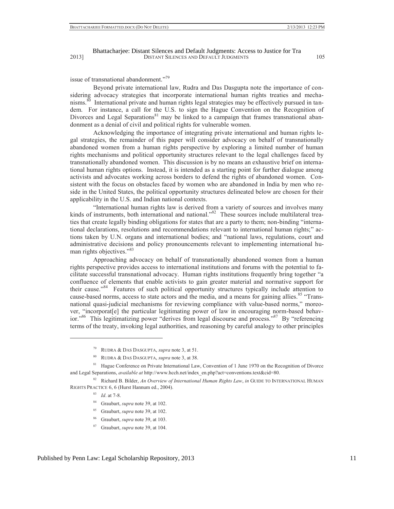issue of transnational abandonment."<sup>79</sup>

Beyond private international law, Rudra and Das Dasgupta note the importance of considering advocacy strategies that incorporate international human rights treaties and mechanisms.<sup>80</sup> International private and human rights legal strategies may be effectively pursued in tandem. For instance, a call for the U.S. to sign the Hague Convention on the Recognition of Divorces and Legal Separations<sup>81</sup> may be linked to a campaign that frames transnational abandonment as a denial of civil and political rights for vulnerable women.

Acknowledging the importance of integrating private international and human rights legal strategies, the remainder of this paper will consider advocacy on behalf of transnationally abandoned women from a human rights perspective by exploring a limited number of human rights mechanisms and political opportunity structures relevant to the legal challenges faced by transnationally abandoned women. This discussion is by no means an exhaustive brief on international human rights options. Instead, it is intended as a starting point for further dialogue among activists and advocates working across borders to defend the rights of abandoned women. Consistent with the focus on obstacles faced by women who are abandoned in India by men who reside in the United States, the political opportunity structures delineated below are chosen for their applicability in the U.S. and Indian national contexts.

"International human rights law is derived from a variety of sources and involves many kinds of instruments, both international and national."<sup>82</sup> These sources include multilateral treaties that create legally binding obligations for states that are a party to them; non-binding "international declarations, resolutions and recommendations relevant to international human rights;" actions taken by U.N. organs and international bodies; and "national laws, regulations, court and administrative decisions and policy pronouncements relevant to implementing international human rights objectives."<sup>83</sup>

Approaching advocacy on behalf of transnationally abandoned women from a human rights perspective provides access to international institutions and forums with the potential to facilitate successful transnational advocacy. Human rights institutions frequently bring together "a confluence of elements that enable activists to gain greater material and normative support for their cause." 84 Features of such political opportunity structures typically include attention to cause-based norms, access to state actors and the media, and a means for gaining allies.<sup>85</sup> "Transnational quasi-judicial mechanisms for reviewing compliance with value-based norms," moreover, "incorporat[e] the particular legitimating power of law in encouraging norm-based behavior."<sup>86</sup> This legitimatizing power "derives from legal discourse and process."<sup>87</sup> By "referencing terms of the treaty, invoking legal authorities, and reasoning by careful analogy to other principles

<sup>83</sup> *Id*. at 7-8.

- 84 Graubart, *supra* note 39, at 102.
- 85 Graubart, *supra* note 39, at 102.
- 86 Graubart, *supra* note 39, at 103.
- 87 Graubart, *supra* note 39, at 104.

<sup>79</sup> RUDRA & DAS DASGUPTA, *supra* note 3, at 51.

<sup>80</sup> RUDRA & DAS DASGUPTA, *supra* note 3, at 38.

<sup>&</sup>lt;sup>81</sup> Hague Conference on Private International Law, Convention of 1 June 1970 on the Recognition of Divorce and Legal Separations, *available at* http://www.hcch.net/index\_en.php?act=conventions.text&cid=80.

<sup>82</sup> Richard B. Bilder, *An Overview of International Human Rights Law*, *in* GUIDE TO INTERNATIONAL HUMAN RIGHTS PRACTICE 6, 6 (Hurst Hannum ed., 2004).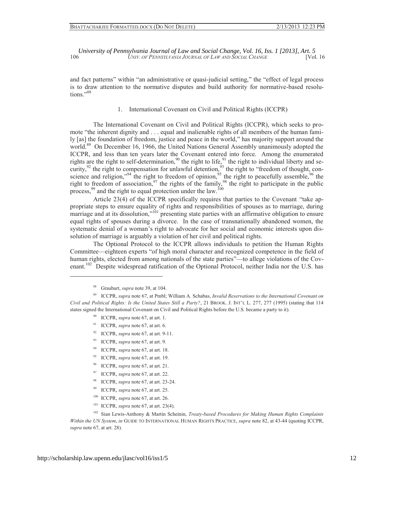and fact patterns" within "an administrative or quasi-judicial setting," the "effect of legal process is to draw attention to the normative disputes and build authority for normative-based resolutions."<sup>88</sup>

# 1. International Covenant on Civil and Political Rights (ICCPR)

The International Covenant on Civil and Political Rights (ICCPR), which seeks to promote "the inherent dignity and . . . equal and inalienable rights of all members of the human family [as] the foundation of freedom, justice and peace in the world," has majority support around the world.<sup>89</sup> On December 16, 1966, the United Nations General Assembly unanimously adopted the ICCPR, and less than ten years later the Covenant entered into force. Among the enumerated rights are the right to self-determination,  $90$  the right to life,  $91$  the right to individual liberty and security,  $92$  the right to compensation for unlawful detention,  $93$  the right to "freedom of thought, conscience and religion,"<sup>94</sup> the right to freedom of opinion,  $95$  the right to peacefully assemble,  $96$  the right to freedom of association,<sup>97</sup> the rights of the family,<sup>98</sup> the right to participate in the public process,  $99$  and the right to equal protection under the law.<sup>100</sup>

Article 23(4) of the ICCPR specifically requires that parties to the Covenant "take appropriate steps to ensure equality of rights and responsibilities of spouses as to marriage, during marriage and at its dissolution,"<sup>101</sup> presenting state parties with an affirmative obligation to ensure equal rights of spouses during a divorce. In the case of transnationally abandoned women, the systematic denial of a woman's right to advocate for her social and economic interests upon dissolution of marriage is arguably a violation of her civil and political rights.

The Optional Protocol to the ICCPR allows individuals to petition the Human Rights Committee—eighteen experts "of high moral character and recognized competence in the field of human rights, elected from among nationals of the state parties"—to allege violations of the Covenant.<sup>102</sup> Despite widespread ratification of the Optional Protocol, neither India nor the U.S. has

 $\overline{a}$ 

- 90 ICCPR, *supra* note 67, at art. 1.
- 91 ICCPR, *supra* note 67, at art. 6.
- 92 ICCPR, *supra* note 67, at art. 9-11.
- 93 ICCPR, *supra* note 67, at art. 9.
- 94 ICCPR, *supra* note 67, at art. 18.
- 95 ICCPR, *supra* note 67, at art. 19.
- 96 ICCPR, *supra* note 67, at art. 21.
- 97 ICCPR, *supra* note 67, at art. 22.
- 98 ICCPR, *supra* note 67, at art. 23-24.
- 99 ICCPR, *supra* note 67, at art. 25.
- 100 ICCPR, *supra* note 67, at art. 26.
- 101 ICCPR, *supra* note 67, at art. 23(4).

102 Sian Lewis-Anthony & Martin Scheinin, *Treaty-based Procedures for Making Human Rights Complaints Within the UN System*, *in* GUIDE TO INTERNATIONAL HUMAN RIGHTS PRACTICE, *supra* note 82, at 43-44 (quoting ICCPR, *supra* note 67, at art. 28).

<sup>88</sup> Graubart, *supra* note 39, at 104.

<sup>89</sup> ICCPR, *supra* note 67, at Pmbl; William A. Schabas, *Invalid Reservations to the International Covenant on Civil and Political Rights: Is the United States Still a Party?*, 21 BROOK. J. INT'L L. 277, 277 (1995) (stating that 114 states signed the International Covenant on Civil and Political Rights before the U.S. became a party to it).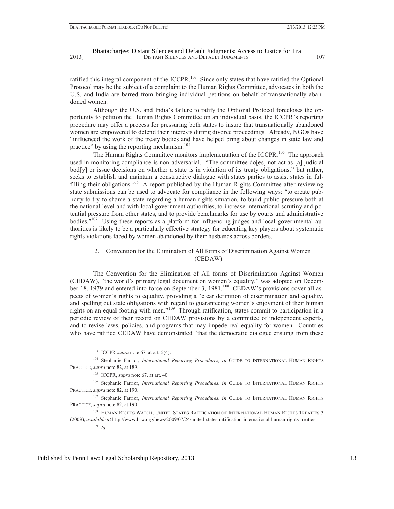ratified this integral component of the ICCPR.<sup>103</sup> Since only states that have ratified the Optional Protocol may be the subject of a complaint to the Human Rights Committee, advocates in both the U.S. and India are barred from bringing individual petitions on behalf of transnationally abandoned women.

Although the U.S. and India's failure to ratify the Optional Protocol forecloses the opportunity to petition the Human Rights Committee on an individual basis, the ICCPR's reporting procedure may offer a process for pressuring both states to insure that transnationally abandoned women are empowered to defend their interests during divorce proceedings. Already, NGOs have "influenced the work of the treaty bodies and have helped bring about changes in state law and practice" by using the reporting mechanism.<sup>104</sup>

The Human Rights Committee monitors implementation of the ICCPR.<sup>105</sup> The approach used in monitoring compliance is non-adversarial. "The committee do[es] not act as [a] judicial bod[y] or issue decisions on whether a state is in violation of its treaty obligations," but rather, seeks to establish and maintain a constructive dialogue with states parties to assist states in fulfilling their obligations.<sup>106</sup> A report published by the Human Rights Committee after reviewing state submissions can be used to advocate for compliance in the following ways: "to create publicity to try to shame a state regarding a human rights situation, to build public pressure both at the national level and with local government authorities, to increase international scrutiny and potential pressure from other states, and to provide benchmarks for use by courts and administrative bodies. $107$  Using these reports as a platform for influencing judges and local governmental authorities is likely to be a particularly effective strategy for educating key players about systematic rights violations faced by women abandoned by their husbands across borders.

2. Convention for the Elimination of All forms of Discrimination Against Women (CEDAW)

The Convention for the Elimination of All forms of Discrimination Against Women (CEDAW), "the world's primary legal document on women's equality," was adopted on December 18, 1979 and entered into force on September 3, 1981.<sup>108</sup> CEDAW's provisions cover all aspects of women's rights to equality, providing a "clear definition of discrimination and equality, and spelling out state obligations with regard to guaranteeing women's enjoyment of their human rights on an equal footing with men."<sup>109</sup> Through ratification, states commit to participation in a periodic review of their record on CEDAW provisions by a committee of independent experts, and to revise laws, policies, and programs that may impede real equality for women. Countries who have ratified CEDAW have demonstrated "that the democratic dialogue ensuing from these

<sup>106</sup> Stephanie Farrior, *International Reporting Procedures, in* GUIDE TO INTERNATIONAL HUMAN RIGHTS PRACTICE, *supra* note 82, at 190.

<sup>107</sup> Stephanie Farrior, *International Reporting Procedures, in* GUIDE TO INTERNATIONAL HUMAN RIGHTS PRACTICE, *supra* note 82, at 190.

<sup>108</sup> HUMAN RIGHTS WATCH, UNITED STATES RATIFICATION OF INTERNATIONAL HUMAN RIGHTS TREATIES 3 (2009), *available at* http://www.hrw.org/news/2009/07/24/united-states-ratification-international-human-rights-treaties.

<sup>103</sup> ICCPR *supra* note 67, at art. 5(4).

<sup>&</sup>lt;sup>104</sup> Stephanie Farrior, *International Reporting Procedures, in* GUIDE TO INTERNATIONAL HUMAN RIGHTS PRACTICE, *supra* note 82, at 189.

<sup>105</sup> ICCPR, *supra* note 67, at art. 40.

<sup>109</sup> *Id.*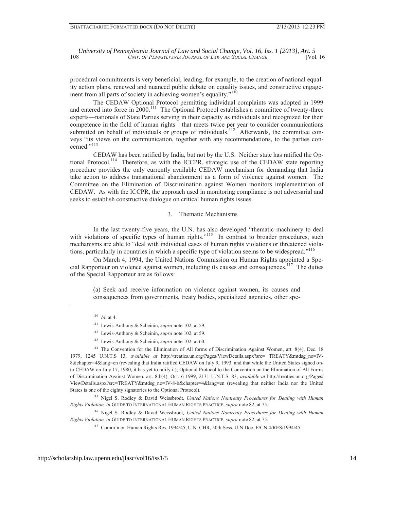procedural commitments is very beneficial, leading, for example, to the creation of national equality action plans, renewed and nuanced public debate on equality issues, and constructive engagement from all parts of society in achieving women's equality."<sup>110</sup>

The CEDAW Optional Protocol permitting individual complaints was adopted in 1999 and entered into force in 2000.<sup>111</sup> The Optional Protocol establishes a committee of twenty-three experts—nationals of State Parties serving in their capacity as individuals and recognized for their competence in the field of human rights—that meets twice per year to consider communications submitted on behalf of individuals or groups of individuals.<sup>112</sup> Afterwards, the committee conveys "its views on the communication, together with any recommendations, to the parties concerned."<sup>113</sup>

CEDAW has been ratified by India, but not by the U.S. Neither state has ratified the Optional Protocol.<sup>114</sup> Therefore, as with the ICCPR, strategic use of the CEDAW state reporting procedure provides the only currently available CEDAW mechanism for demanding that India take action to address transnational abandonment as a form of violence against women. The Committee on the Elimination of Discrimination against Women monitors implementation of CEDAW. As with the ICCPR, the approach used in monitoring compliance is not adversarial and seeks to establish constructive dialogue on critical human rights issues.

#### 3. Thematic Mechanisms

In the last twenty-five years, the U.N. has also developed "thematic machinery to deal with violations of specific types of human rights."<sup>115</sup> In contrast to broader procedures, such mechanisms are able to "deal with individual cases of human rights violations or threatened violations, particularly in countries in which a specific type of violation seems to be widespread." 116

On March 4, 1994, the United Nations Commission on Human Rights appointed a Special Rapporteur on violence against women, including its causes and consequences.<sup>117</sup> The duties of the Special Rapporteur are as follows:

(a) Seek and receive information on violence against women, its causes and consequences from governments, treaty bodies, specialized agencies, other spe-

 $\overline{a}$ 

115 Nigel S. Rodley & David Weissbrodt*, United Nations Nontreaty Procedures for Dealing with Human Rights Violation, in* GUIDE TO INTERNATIONAL HUMAN RIGHTS PRACTICE, *supra* note 82, at 75.

116 Nigel S. Rodley & David Weissbrodt*, United Nations Nontreaty Procedures for Dealing with Human Rights Violation, in* GUIDE TO INTERNATIONAL HUMAN RIGHTS PRACTICE, *supra* note 82, at 75.

<sup>117</sup> Comm'n on Human Rights Res. 1994/45, U.N. CHR, 50th Sess. U.N Doc. E/CN.4/RES/1994/45.

 $110$  *Id.* at 4.

<sup>111</sup> Lewis-Anthony & Scheinin, *supra* note 102, at 59.

<sup>112</sup> Lewis-Anthony & Scheinin, *supra* note 102, at 59.

<sup>113</sup> Lewis-Anthony & Scheinin, *supra* note 102, at 60.

<sup>&</sup>lt;sup>114</sup> The Convention for the Elimination of All forms of Discrimination Against Women, art. 8(4), Dec. 18 1979, 1245 U.N.T.S 13, *available at* http://treaties.un.org/Pages/ViewDetails.aspx?src= TREATY&mtdsg\_no=IV-8&chapter=4&lang=en (revealing that India ratified CEDAW on July 9, 1993, and that while the United States signed onto CEDAW on July 17, 1980, it has yet to ratify it); Optional Protocol to the Convention on the Elimination of All Forms of Discrimination Against Women, art. 8.b(4), Oct. 6 1999, 2131 U.N.T.S. 83, *available at* http://treaties.un.org/Pages/ ViewDetails.aspx?src=TREATY&mtdsg\_no=IV-8-b&chapter=4&lang=en (revealing that neither India nor the United States is one of the eighty signatories to the Optional Protocol).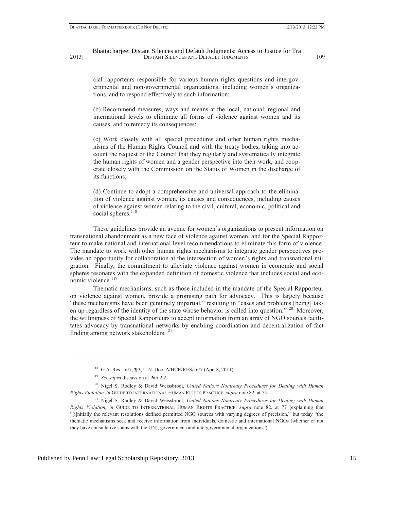cial rapporteurs responsible for various human rights questions and intergovernmental and non-governmental organizations, including women's organizations, and to respond effectively to such information;

(b) Recommend measures, ways and means at the local, national, regional and international levels to eliminate all forms of violence against women and its causes, and to remedy its consequences;

(c) Work closely with all special procedures and other human rights mechanisms of the Human Rights Council and with the treaty bodies, taking into account the request of the Council that they regularly and systematically integrate the human rights of women and a gender perspective into their work, and cooperate closely with the Commission on the Status of Women in the discharge of its functions;

(d) Continue to adopt a comprehensive and universal approach to the elimination of violence against women, its causes and consequences, including causes of violence against women relating to the civil, cultural, economic, political and social spheres.<sup>118</sup>

These guidelines provide an avenue for women's organizations to present information on transnational abandonment as a new face of violence against women, and for the Special Rapporteur to make national and international level recommendations to eliminate this form of violence. The mandate to work with other human rights mechanisms to integrate gender perspectives provides an opportunity for collaboration at the intersection of women's rights and transnational migration. Finally, the commitment to alleviate violence against women in economic and social spheres resonates with the expanded definition of domestic violence that includes social and economic violence.<sup>119</sup>

Thematic mechanisms, such as those included in the mandate of the Special Rapporteur on violence against women, provide a promising path for advocacy. This is largely because "these mechanisms have been genuinely impartial," resulting in "cases and problems [being] taken up regardless of the identity of the state whose behavior is called into question."<sup>120</sup> Moreover, the willingness of Special Rapporteurs to accept information from an array of NGO sources facilitates advocacy by transnational networks by enabling coordination and decentralization of fact finding among network stakeholders.<sup>121</sup>

<sup>118</sup> G.A. Res. 16/7, ¶ 3, U.N. Doc. A/HCR/RES/16/7 (Apr. 8, 2011).

<sup>119</sup> *See supra* discussion at Part 2.2.

<sup>&</sup>lt;sup>120</sup> Nigel S. Rodley & David Weissbrodt, United Nations Nontreaty Procedures for Dealing with Human *Rights Violation, in* GUIDE TO INTERNATIONAL HUMAN RIGHTS PRACTICE, *supra* note 82, at 75.

<sup>&</sup>lt;sup>121</sup> Nigel S. Rodley & David Weissbrodt, United Nations Nontreaty Procedures for Dealing with Human *Rights Violation, in* GUIDE TO INTERNATIONAL HUMAN RIGHTS PRACTICE, *supra* note 82, at 77 (explaining that "[i]nitially the relevant resolutions defined permitted NGO sources with varying degrees of precision," but today "the thematic mechanisms seek and receive information from individuals, domestic and international NGOs (whether or not they have consultative status with the UN), governments and intergovernmental organizations").